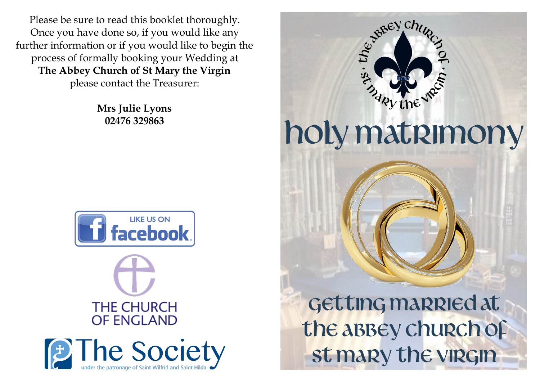Please be sure to read this booklet thoroughly. Once you have done so, if you would like any further information or if you would like to begin the process of formally booking your Wedding at **The Abbey Church of St Mary the Virgin** please contact the Treasurer:

> **Mrs Julie Lyons 02476 329863**







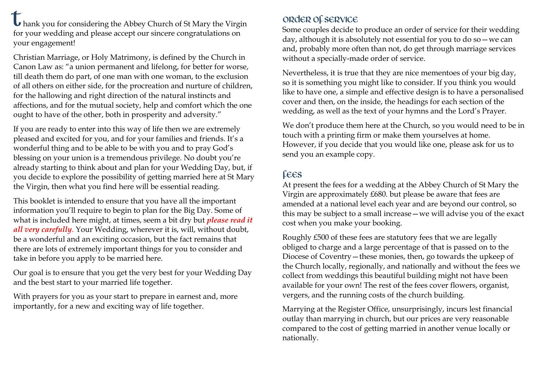**U** hank you for considering the Abbey Church of St Mary the Virgin for your wedding and please accept our sincere congratulations on your engagement!

Christian Marriage, or Holy Matrimony, is defined by the Church in Canon Law as: "a union permanent and lifelong, for better for worse, till death them do part, of one man with one woman, to the exclusion of all others on either side, for the procreation and nurture of children, for the hallowing and right direction of the natural instincts and affections, and for the mutual society, help and comfort which the one ought to have of the other, both in prosperity and adversity."

If you are ready to enter into this way of life then we are extremely pleased and excited for you, and for your families and friends. It's a wonderful thing and to be able to be with you and to pray God's blessing on your union is a tremendous privilege. No doubt you're already starting to think about and plan for your Wedding Day, but, if you decide to explore the possibility of getting married here at St Mary the Virgin, then what you find here will be essential reading.

This booklet is intended to ensure that you have all the important information you'll require to begin to plan for the Big Day. Some of what is included here might, at times, seem a bit dry but *please read it all very carefully*. Your Wedding, wherever it is, will, without doubt, be a wonderful and an exciting occasion, but the fact remains that there are lots of extremely important things for you to consider and take in before you apply to be married here.

Our goal is to ensure that you get the very best for your Wedding Day and the best start to your married life together.

With prayers for you as your start to prepare in earnest and, more importantly, for a new and exciting way of life together.

# Order of service

Some couples decide to produce an order of service for their wedding day, although it is absolutely not essential for you to do so—we can and, probably more often than not, do get through marriage services without a specially-made order of service.

Nevertheless, it is true that they are nice mementoes of your big day, so it is something you might like to consider. If you think you would like to have one, a simple and effective design is to have a personalised cover and then, on the inside, the headings for each section of the wedding, as well as the text of your hymns and the Lord's Prayer.

We don't produce them here at the Church, so you would need to be in touch with a printing firm or make them yourselves at home. However, if you decide that you would like one, please ask for us to send you an example copy.

# Fees

At present the fees for a wedding at the Abbey Church of St Mary the Virgin are approximately £680. but please be aware that fees are amended at a national level each year and are beyond our control, so this may be subject to a small increase—we will advise you of the exact cost when you make your booking.

Roughly £500 of these fees are statutory fees that we are legally obliged to charge and a large percentage of that is passed on to the Diocese of Coventry—these monies, then, go towards the upkeep of the Church locally, regionally, and nationally and without the fees we collect from weddings this beautiful building might not have been available for your own! The rest of the fees cover flowers, organist, vergers, and the running costs of the church building.

Marrying at the Register Office, unsurprisingly, incurs lest financial outlay than marrying in church, but our prices are very reasonable compared to the cost of getting married in another venue locally or nationally.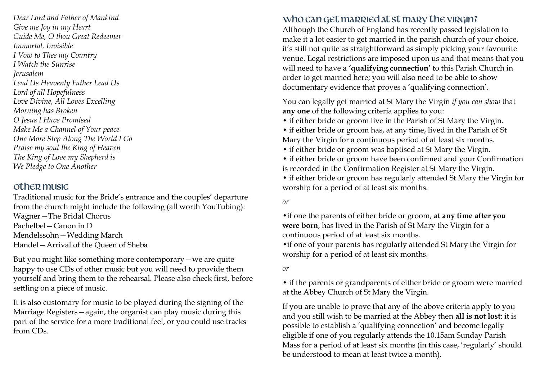*Dear Lord and Father of Mankind Give me Joy in my Heart Guide Me, O thou Great Redeemer Immortal, Invisible I Vow to Thee my Country I Watch the Sunrise Jerusalem Lead Us Heavenly Father Lead Us Lord of all Hopefulness Love Divine, All Loves Excelling Morning has Broken O Jesus I Have Promised Make Me a Channel of Your peace One More Step Along The World I Go Praise my soul the King of Heaven The King of Love my Shepherd is We Pledge to One Another* 

### Other music

Traditional music for the Bride's entrance and the couples' departure from the church might include the following (all worth YouTubing): Wagner—The Bridal Chorus Pachelbel—Canon in D Mendelssohn—Wedding March Handel—Arrival of the Queen of Sheba

But you might like something more contemporary—we are quite happy to use CDs of other music but you will need to provide them yourself and bring them to the rehearsal. Please also check first, before settling on a piece of music.

It is also customary for music to be played during the signing of the Marriage Registers—again, the organist can play music during this part of the service for a more traditional feel, or you could use tracks from CDs.

# Who can get married at st mary the virgin?

Although the Church of England has recently passed legislation to make it a lot easier to get married in the parish church of your choice, it's still not quite as straightforward as simply picking your favourite venue. Legal restrictions are imposed upon us and that means that you will need to have a **'qualifying connection'** to this Parish Church in order to get married here; you will also need to be able to show documentary evidence that proves a 'qualifying connection'.

You can legally get married at St Mary the Virgin *if you can show* that **any one** of the following criteria applies to you:

• if either bride or groom live in the Parish of St Mary the Virgin.

• if either bride or groom has, at any time, lived in the Parish of St Mary the Virgin for a continuous period of at least six months.

• if either bride or groom was baptised at St Mary the Virgin.

• if either bride or groom have been confirmed and your Confirmation is recorded in the Confirmation Register at St Mary the Virgin.

• if either bride or groom has regularly attended St Mary the Virgin for worship for a period of at least six months.

*or*

•if one the parents of either bride or groom, **at any time after you were born**, has lived in the Parish of St Mary the Virgin for a continuous period of at least six months.

•if one of your parents has regularly attended St Mary the Virgin for worship for a period of at least six months.

*or*

• if the parents or grandparents of either bride or groom were married at the Abbey Church of St Mary the Virgin.

If you are unable to prove that any of the above criteria apply to you and you still wish to be married at the Abbey then **all is not lost**: it is possible to establish a 'qualifying connection' and become legally eligible if one of you regularly attends the 10.15am Sunday Parish Mass for a period of at least six months (in this case, 'regularly' should be understood to mean at least twice a month).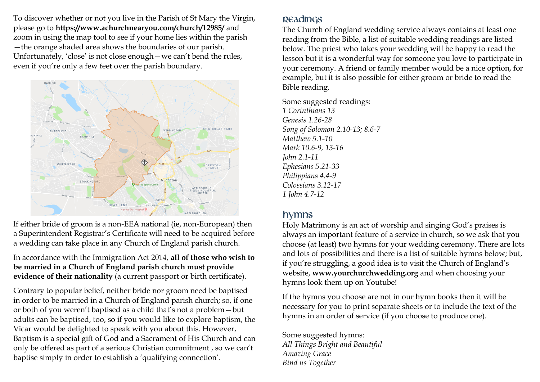To discover whether or not you live in the Parish of St Mary the Virgin, please go to **https://www.achurchnearyou.com/church/12985/** and zoom in using the map tool to see if your home lies within the parish —the orange shaded area shows the boundaries of our parish. Unfortunately, 'close' is not close enough—we can't bend the rules, even if you're only a few feet over the parish boundary.



If either bride of groom is a non-EEA national (ie, non-European) then a Superintendent Registrar's Certificate will need to be acquired before a wedding can take place in any Church of England parish church.

In accordance with the Immigration Act 2014, **all of those who wish to be married in a Church of England parish church must provide evidence of their nationality** (a current passport or birth certificate).

Contrary to popular belief, neither bride nor groom need be baptised in order to be married in a Church of England parish church; so, if one or both of you weren't baptised as a child that's not a problem—but adults can be baptised, too, so if you would like to explore baptism, the Vicar would be delighted to speak with you about this. However, Baptism is a special gift of God and a Sacrament of His Church and can only be offered as part of a serious Christian commitment , so we can't baptise simply in order to establish a 'qualifying connection'.

#### Readings

The Church of England wedding service always contains at least one reading from the Bible, a list of suitable wedding readings are listed below. The priest who takes your wedding will be happy to read the lesson but it is a wonderful way for someone you love to participate in your ceremony. A friend or family member would be a nice option, for example, but it is also possible for either groom or bride to read the Bible reading.

Some suggested readings:

*1 Corinthians 13 Genesis 1.26-28 Song of Solomon 2.10-13; 8.6-7 Matthew 5.1-10 Mark 10.6-9, 13-16 John 2.1-11 Ephesians 5.21-33 Philippians 4.4-9 Colossians 3.12-17 1 John 4.7-12*

# Hymns

Holy Matrimony is an act of worship and singing God's praises is always an important feature of a service in church, so we ask that you choose (at least) two hymns for your wedding ceremony. There are lots and lots of possibilities and there is a list of suitable hymns below; but, if you're struggling, a good idea is to visit the Church of England's website, **www.yourchurchwedding.org** and when choosing your hymns look them up on Youtube!

If the hymns you choose are not in our hymn books then it will be necessary for you to print separate sheets or to include the text of the hymns in an order of service (if you choose to produce one).

### Some suggested hymns:

*All Things Bright and Beautiful Amazing Grace Bind us Together*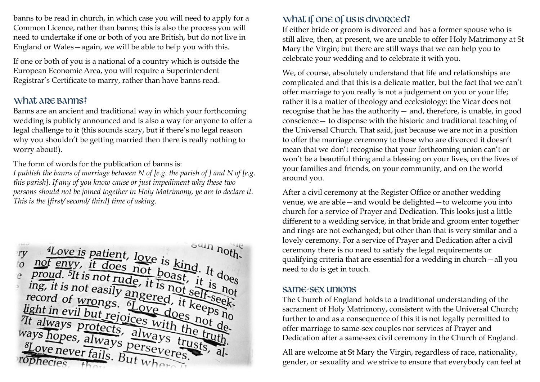banns to be read in church, in which case you will need to apply for a Common Licence, rather than banns; this is also the process you will need to undertake if one or both of you are British, but do not live in England or Wales—again, we will be able to help you with this.

If one or both of you is a national of a country which is outside the European Economic Area, you will require a Superintendent Registrar's Certificate to marry, rather than have banns read.

### What are banns?

Banns are an ancient and traditional way in which your forthcoming wedding is publicly announced and is also a way for anyone to offer a legal challenge to it (this sounds scary, but if there's no legal reason why you shouldn't be getting married then there is really nothing to worry about!).

The form of words for the publication of banns is:

*I publish the banns of marriage between N of [e.g. the parish of ] and N of [e.g. this parish]. If any of you know cause or just impediment why these two persons should not be joined together in Holy Matrimony, ye are to declare it. This is the [first/ second/ third] time of asking.*



# What if one of us is divorced?

If either bride or groom is divorced and has a former spouse who is still alive, then, at present, we are unable to offer Holy Matrimony at St Mary the Virgin; but there are still ways that we can help you to celebrate your wedding and to celebrate it with you.

We, of course, absolutely understand that life and relationships are complicated and that this is a delicate matter, but the fact that we can't offer marriage to you really is not a judgement on you or your life; rather it is a matter of theology and ecclesiology: the Vicar does not recognise that he has the authority— and, therefore, is unable, in good conscience— to dispense with the historic and traditional teaching of the Universal Church. That said, just because we are not in a position to offer the marriage ceremony to those who are divorced it doesn't mean that we don't recognise that your forthcoming union can't or won't be a beautiful thing and a blessing on your lives, on the lives of your families and friends, on your community, and on the world around you.

After a civil ceremony at the Register Office or another wedding venue, we are able—and would be delighted—to welcome you into church for a service of Prayer and Dedication. This looks just a little different to a wedding service, in that bride and groom enter together and rings are not exchanged; but other than that is very similar and a lovely ceremony. For a service of Prayer and Dedication after a civil ceremony there is no need to satisfy the legal requirements or qualifying criteria that are essential for a wedding in church—all you need to do is get in touch.

#### Same-sex unions

The Church of England holds to a traditional understanding of the sacrament of Holy Matrimony, consistent with the Universal Church; further to and as a consequence of this it is not legally permitted to offer marriage to same-sex couples nor services of Prayer and Dedication after a same-sex civil ceremony in the Church of England.

All are welcome at St Mary the Virgin, regardless of race, nationality, gender, or sexuality and we strive to ensure that everybody can feel at